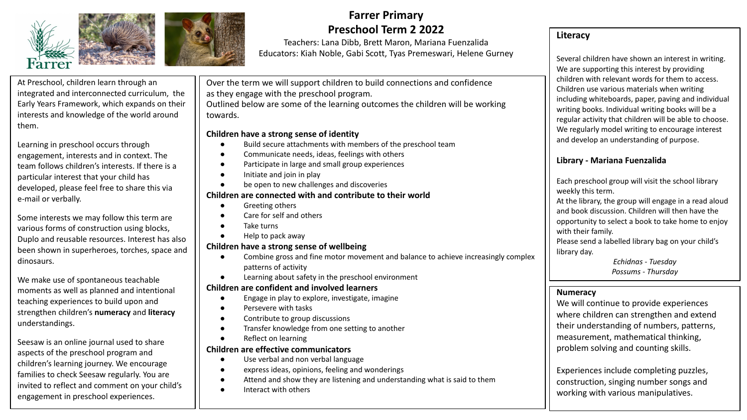



## **Farrer Primary Preschool Term 2 2022**

Teachers: Lana Dibb, Brett Maron, Mariana Fuenzalida Educators: Kiah Noble, Gabi Scott, Tyas Premeswari, Helene Gurney

At Preschool, children learn through an integrated and interconnected curriculum, the Early Years Framework, which expands on their interests and knowledge of the world around them.

Learning in preschool occurs through engagement, interests and in context. The team follows children's interests. If there is a particular interest that your child has developed, please feel free to share this via e-mail or verbally.

Some interests we may follow this term are various forms of construction using blocks, Duplo and reusable resources. Interest has also been shown in superheroes, torches, space and dinosaurs.

We make use of spontaneous teachable moments as well as planned and intentional teaching experiences to build upon and strengthen children's **numeracy** and **literacy**  understandings.

Seesaw is an online journal used to share aspects of the preschool program and children's learning journey. We encourage families to check Seesaw regularly. You are invited to reflect and comment on your child's engagement in preschool experiences.

Over the term we will support children to build connections and confidence as they engage with the preschool program.

Outlined below are some of the learning outcomes the children will be working towards.

#### **Children have a strong sense of identity**

- Build secure attachments with members of the preschool team
- Communicate needs, ideas, feelings with others
- Participate in large and small group experiences
- Initiate and join in play
- be open to new challenges and discoveries

## **Children are connected with and contribute to their world**

- Greeting others
- Care for self and others
- Take turns
- Help to pack away

## **Children have a strong sense of wellbeing**

- Combine gross and fine motor movement and balance to achieve increasingly complex patterns of activity
- Learning about safety in the preschool environment

#### **Children are confident and involved learners**

- Engage in play to explore, investigate, imagine
- Persevere with tasks
- Contribute to group discussions
- Transfer knowledge from one setting to another
- **Reflect on learning**

#### **Children are effective communicators**

- Use verbal and non verbal language
- express ideas, opinions, feeling and wonderings
- Attend and show they are listening and understanding what is said to them
- Interact with others

## **Literacy**

Several children have shown an interest in writing. We are supporting this interest by providing children with relevant words for them to access. Children use various materials when writing including whiteboards, paper, paving and individual writing books. Individual writing books will be a regular activity that children will be able to choose. We regularly model writing to encourage interest and develop an understanding of purpose.

## **Library - Mariana Fuenzalida**

Each preschool group will visit the school library weekly this term.

At the library, the group will engage in a read aloud and book discussion. Children will then have the opportunity to select a book to take home to enjoy with their family.

Please send a labelled library bag on your child's library day.

> *Echidnas - Tuesday Possums - Thursday*

#### **Numeracy**

We will continue to provide experiences where children can strengthen and extend their understanding of numbers, patterns, measurement, mathematical thinking, problem solving and counting skills.

Experiences include completing puzzles, construction, singing number songs and working with various manipulatives.